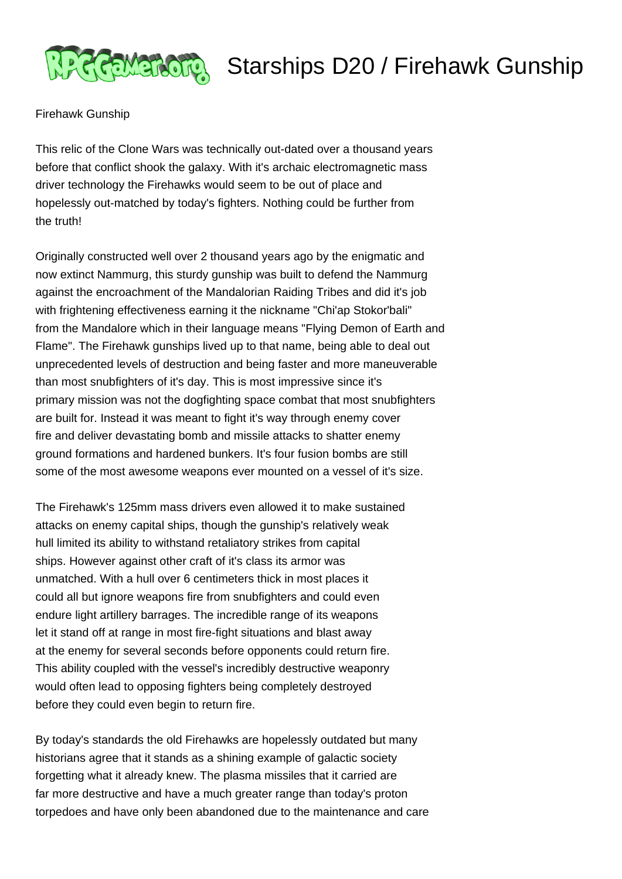

## **REMERORG** Starships D20 / Firehawk Gunship

Firehawk Gunship

This relic of the Clone Wars was technically out-dated over a thousand years before that conflict shook the galaxy. With it's archaic electromagnetic mass driver technology the Firehawks would seem to be out of place and hopelessly out-matched by today's fighters. Nothing could be further from the truth!

Originally constructed well over 2 thousand years ago by the enigmatic and now extinct Nammurg, this sturdy gunship was built to defend the Nammurg against the encroachment of the Mandalorian Raiding Tribes and did it's job with frightening effectiveness earning it the nickname "Chi'ap Stokor'bali" from the Mandalore which in their language means "Flying Demon of Earth and Flame". The Firehawk gunships lived up to that name, being able to deal out unprecedented levels of destruction and being faster and more maneuverable than most snubfighters of it's day. This is most impressive since it's primary mission was not the dogfighting space combat that most snubfighters are built for. Instead it was meant to fight it's way through enemy cover fire and deliver devastating bomb and missile attacks to shatter enemy ground formations and hardened bunkers. It's four fusion bombs are still some of the most awesome weapons ever mounted on a vessel of it's size.

The Firehawk's 125mm mass drivers even allowed it to make sustained attacks on enemy capital ships, though the gunship's relatively weak hull limited its ability to withstand retaliatory strikes from capital ships. However against other craft of it's class its armor was unmatched. With a hull over 6 centimeters thick in most places it could all but ignore weapons fire from snubfighters and could even endure light artillery barrages. The incredible range of its weapons let it stand off at range in most fire-fight situations and blast away at the enemy for several seconds before opponents could return fire. This ability coupled with the vessel's incredibly destructive weaponry would often lead to opposing fighters being completely destroyed before they could even begin to return fire.

By today's standards the old Firehawks are hopelessly outdated but many historians agree that it stands as a shining example of galactic society forgetting what it already knew. The plasma missiles that it carried are far more destructive and have a much greater range than today's proton torpedoes and have only been abandoned due to the maintenance and care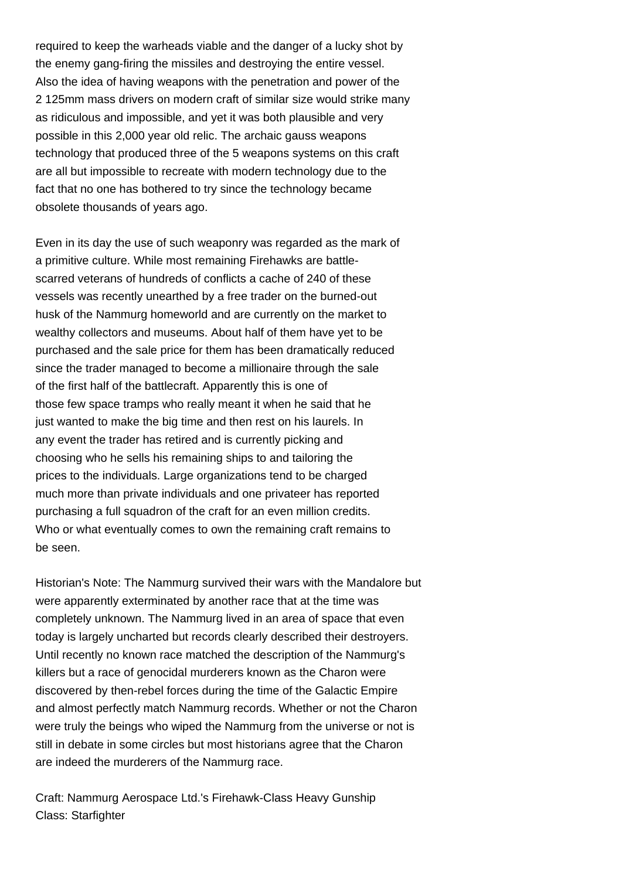required to keep the warheads viable and the danger of a lucky shot by the enemy gang-firing the missiles and destroying the entire vessel. Also the idea of having weapons with the penetration and power of the 2 125mm mass drivers on modern craft of similar size would strike many as ridiculous and impossible, and yet it was both plausible and very possible in this 2,000 year old relic. The archaic gauss weapons technology that produced three of the 5 weapons systems on this craft are all but impossible to recreate with modern technology due to the fact that no one has bothered to try since the technology became obsolete thousands of years ago.

Even in its day the use of such weaponry was regarded as the mark of a primitive culture. While most remaining Firehawks are battlescarred veterans of hundreds of conflicts a cache of 240 of these vessels was recently unearthed by a free trader on the burned-out husk of the Nammurg homeworld and are currently on the market to wealthy collectors and museums. About half of them have yet to be purchased and the sale price for them has been dramatically reduced since the trader managed to become a millionaire through the sale of the first half of the battlecraft. Apparently this is one of those few space tramps who really meant it when he said that he just wanted to make the big time and then rest on his laurels. In any event the trader has retired and is currently picking and choosing who he sells his remaining ships to and tailoring the prices to the individuals. Large organizations tend to be charged much more than private individuals and one privateer has reported purchasing a full squadron of the craft for an even million credits. Who or what eventually comes to own the remaining craft remains to be seen.

Historian's Note: The Nammurg survived their wars with the Mandalore but were apparently exterminated by another race that at the time was completely unknown. The Nammurg lived in an area of space that even today is largely uncharted but records clearly described their destroyers. Until recently no known race matched the description of the Nammurg's killers but a race of genocidal murderers known as the Charon were discovered by then-rebel forces during the time of the Galactic Empire and almost perfectly match Nammurg records. Whether or not the Charon were truly the beings who wiped the Nammurg from the universe or not is still in debate in some circles but most historians agree that the Charon are indeed the murderers of the Nammurg race.

Craft: Nammurg Aerospace Ltd.'s Firehawk-Class Heavy Gunship Class: Starfighter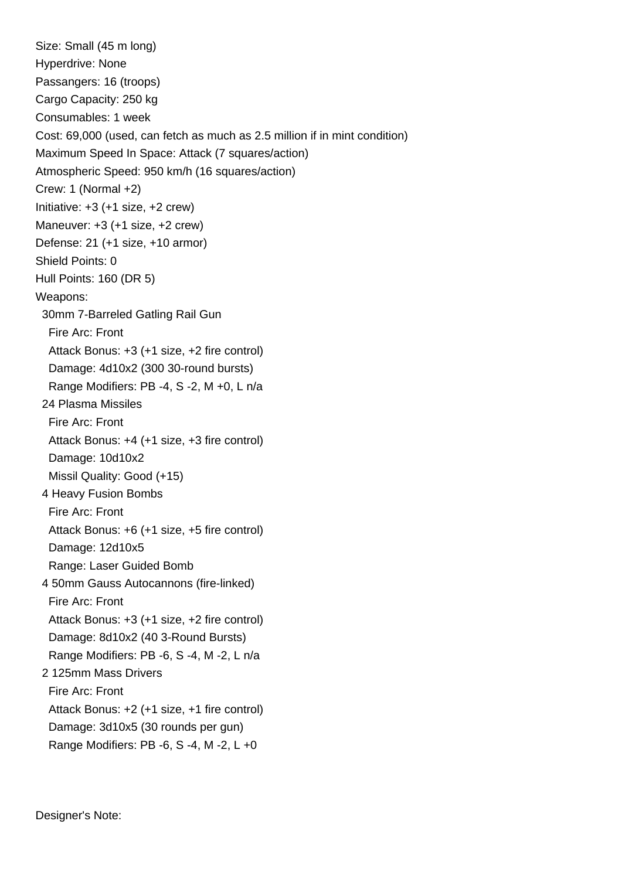Size: Small (45 m long) Hyperdrive: None Passangers: 16 (troops) Cargo Capacity: 250 kg Consumables: 1 week Cost: 69,000 (used, can fetch as much as 2.5 million if in mint condition) Maximum Speed In Space: Attack (7 squares/action) Atmospheric Speed: 950 km/h (16 squares/action) Crew: 1 (Normal +2) Initiative:  $+3$  ( $+1$  size,  $+2$  crew) Maneuver: +3 (+1 size, +2 crew) Defense: 21 (+1 size, +10 armor) Shield Points: 0 Hull Points: 160 (DR 5) Weapons: 30mm 7-Barreled Gatling Rail Gun Fire Arc: Front Attack Bonus: +3 (+1 size, +2 fire control) Damage: 4d10x2 (300 30-round bursts) Range Modifiers: PB -4, S -2, M +0, L n/a 24 Plasma Missiles Fire Arc: Front Attack Bonus: +4 (+1 size, +3 fire control) Damage: 10d10x2 Missil Quality: Good (+15) 4 Heavy Fusion Bombs Fire Arc: Front Attack Bonus: +6 (+1 size, +5 fire control) Damage: 12d10x5 Range: Laser Guided Bomb 4 50mm Gauss Autocannons (fire-linked) Fire Arc: Front Attack Bonus: +3 (+1 size, +2 fire control) Damage: 8d10x2 (40 3-Round Bursts) Range Modifiers: PB -6, S -4, M -2, L n/a 2 125mm Mass Drivers Fire Arc: Front Attack Bonus: +2 (+1 size, +1 fire control) Damage: 3d10x5 (30 rounds per gun) Range Modifiers: PB -6, S -4, M -2, L +0